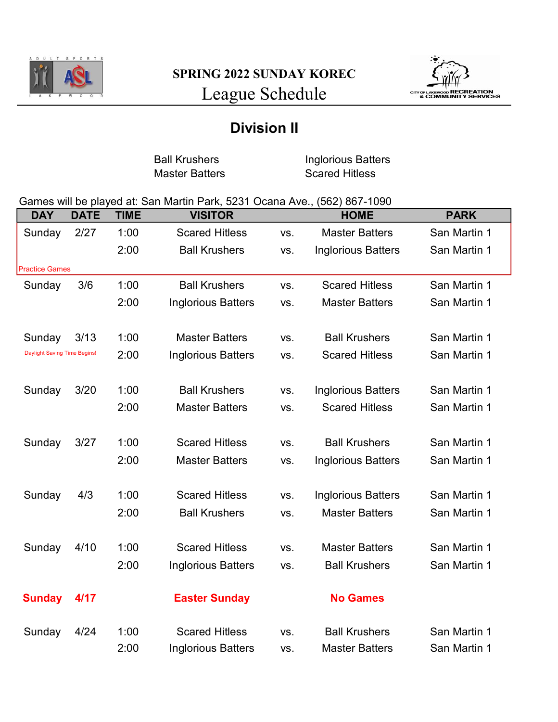



## Division II

Ball Krushers **Inglorious Batters** Master Batters Scared Hitless

## Games will be played at: San Martin Park, 5231 Ocana Ave., (562) 867-1090

| <b>DAY</b>                   | <b>DATE</b> | <b>TIME</b> | <b>VISITOR</b>            |     | <b>HOME</b>               | <b>PARK</b>  |
|------------------------------|-------------|-------------|---------------------------|-----|---------------------------|--------------|
| Sunday                       | 2/27        | 1:00        | <b>Scared Hitless</b>     | VS. | <b>Master Batters</b>     | San Martin 1 |
|                              |             | 2:00        | <b>Ball Krushers</b>      | VS. | <b>Inglorious Batters</b> | San Martin 1 |
| <b>Practice Games</b>        |             |             |                           |     |                           |              |
| Sunday                       | 3/6         | 1:00        | <b>Ball Krushers</b>      | VS. | <b>Scared Hitless</b>     | San Martin 1 |
|                              |             | 2:00        | <b>Inglorious Batters</b> | VS. | <b>Master Batters</b>     | San Martin 1 |
|                              |             |             |                           |     |                           |              |
| Sunday                       | 3/13        | 1:00        | <b>Master Batters</b>     | VS. | <b>Ball Krushers</b>      | San Martin 1 |
| Daylight Saving Time Begins! |             | 2:00        | <b>Inglorious Batters</b> | VS. | <b>Scared Hitless</b>     | San Martin 1 |
|                              |             |             |                           |     |                           |              |
| Sunday                       | 3/20        | 1:00        | <b>Ball Krushers</b>      | VS. | <b>Inglorious Batters</b> | San Martin 1 |
|                              |             | 2:00        | <b>Master Batters</b>     | VS. | <b>Scared Hitless</b>     | San Martin 1 |
|                              |             |             |                           |     |                           |              |
| Sunday                       | 3/27        | 1:00        | <b>Scared Hitless</b>     | VS. | <b>Ball Krushers</b>      | San Martin 1 |
|                              |             | 2:00        | <b>Master Batters</b>     | VS. | <b>Inglorious Batters</b> | San Martin 1 |
|                              |             |             |                           |     |                           |              |
| Sunday                       | 4/3         | 1:00        | <b>Scared Hitless</b>     | VS. | <b>Inglorious Batters</b> | San Martin 1 |
|                              |             | 2:00        | <b>Ball Krushers</b>      | VS. | <b>Master Batters</b>     | San Martin 1 |
|                              |             |             |                           |     |                           |              |
| Sunday                       | 4/10        | 1:00        | <b>Scared Hitless</b>     | VS. | <b>Master Batters</b>     | San Martin 1 |
|                              |             | 2:00        | <b>Inglorious Batters</b> | VS. | <b>Ball Krushers</b>      | San Martin 1 |
|                              |             |             |                           |     |                           |              |
| <b>Sunday</b>                | 4/17        |             | <b>Easter Sunday</b>      |     | <b>No Games</b>           |              |
|                              |             |             |                           |     |                           |              |
| Sunday                       | 4/24        | 1:00        | <b>Scared Hitless</b>     | VS. | <b>Ball Krushers</b>      | San Martin 1 |
|                              |             | 2:00        | <b>Inglorious Batters</b> | VS. | <b>Master Batters</b>     | San Martin 1 |